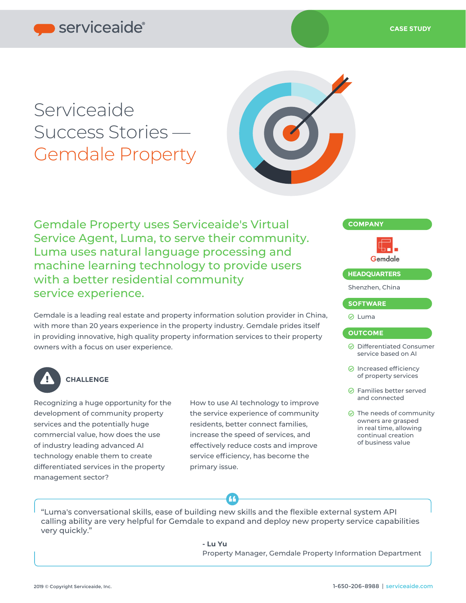# Serviceaide Success Stories — Gemdale Property



Gemdale Property uses Serviceaide's Virtual Service Agent, Luma, to serve their community. Luma uses natural language processing and machine learning technology to provide users with a better residential community service experience.

Gemdale is a leading real estate and property information solution provider in China, with more than 20 years experience in the property industry. Gemdale prides itself in providing innovative, high quality property information services to their property owners with a focus on user experience.



### **CHALLENGE**

Recognizing a huge opportunity for the development of community property services and the potentially huge commercial value, how does the use of industry leading advanced AI technology enable them to create differentiated services in the property management sector?

How to use AI technology to improve the service experience of community residents, better connect families, increase the speed of services, and effectively reduce costs and improve service efficiency, has become the primary issue.

## **COMPANY** Gemdale **HEADQUARTERS** Shenzhen, China **SOFTWARE**

#### **⊘** Luma

#### **OUTCOME**

- Differentiated Consumer service based on AI
- $\odot$  Increased efficiency of property services
- **⊘** Families better served and connected
- $\odot$  The needs of community owners are grasped in real time, allowing continual creation of business value

"Luma's conversational skills, ease of building new skills and the flexible external system API calling ability are very helpful for Gemdale to expand and deploy new property service capabilities very quickly."

**- Lu Yu**

Property Manager, Gemdale Property Information Department